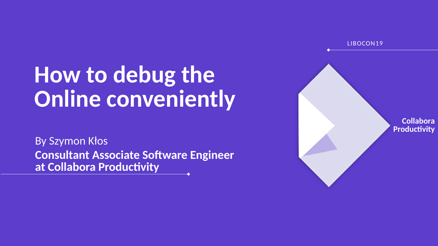# **How to debug the Online conveniently**

By Szymon Kłos **Consultant Associate Software Engineer at Collabora Productivity**

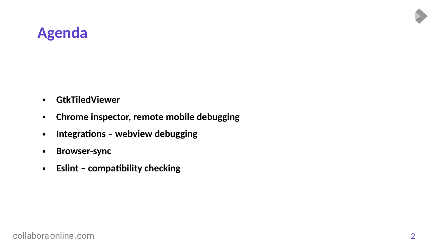#### **Agenda**

- **GtkTiledViewer**
- **Chrome inspector, remote mobile debugging**
- **Integrations webview debugging**
- **Browser-sync**
- **Eslint compatibility checking**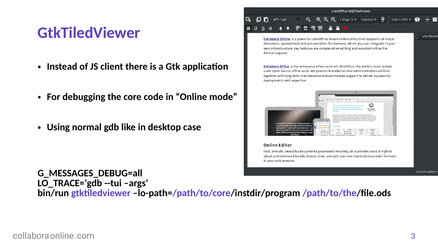#### LibreOffice GtkTiledViewer

#### **GtkTiledViewer**

- **Instead of JS client there is a Gtk application**
- **For debugging the core code in "Online mode"**
- **Using normal gdb like in desktop case**

#### **DUE**  $Q \oplus Q \oplus 1$  (Page 1)  $\rightarrow$  Standard  $\rightarrow$   $\overline{d}$ Select UNO -

Collabora Online is a powerful LibreOffice-based online office that supports all major document, spreadsheet and presentation file formats, which you can integrate in your own infrastructure. Key features are collaborative editing and excellent office file format support.

Collabora Office is the enterprise office suite of LibreOffice, the world's most widely used Open Source office suite. We provide installation and administration utilities together with long term maintenance and contracted support to deliver successful deployments with expertise.



#### **Online Editor**

Fast, smooth, beautiful documents processed remotely, on a private cloud or hybrid cloud, and delivered locally. Create, view, and edit over one hundred document formats in your web browser.

**G\_MESSAGES\_DEBUG=all LO\_TRACE='gdb --tui –args' bin/run gtktiledviewer –lo-path=/path/to/core/instdir/program /path/to/the/file.ods** .uno:ViewAr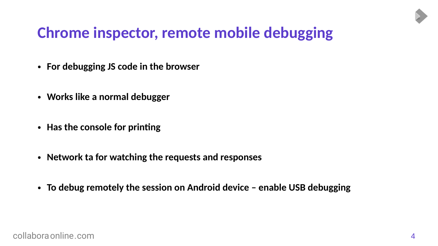### **Chrome inspector, remote mobile debugging**

- **For debugging JS code in the browser**
- **Works like a normal debugger**
- **Has the console for printing**
- **Network ta for watching the requests and responses**
- **To debug remotely the session on Android device enable USB debugging**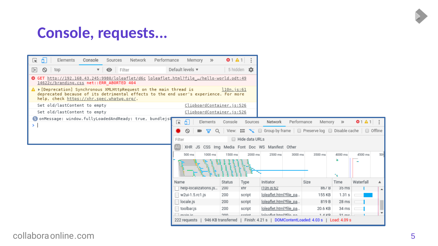#### **Console, requests...**

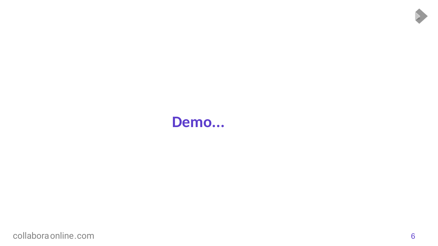#### **Demo...**

[collaboraonline.com](https://www.collaboraoffice.com/) 6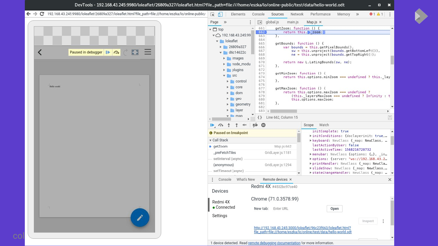|                                   | ← → C 192.168.43.245:9980/loleaflet/26809a327/loleaflet.html?file_path=file:///home/eszka/lo/online-public/ | 保司<br>Elements<br>Console<br>Network<br>Performance<br>$\bullet$ 1 $\bullet$ 1 :<br>Sources<br>Memory >>                                                                                                                                                                                                                                                                                                                                                                                                                                                                                                                                                                                                                                                                                                                                                                                                                                                                                                                                                |
|-----------------------------------|-------------------------------------------------------------------------------------------------------------|---------------------------------------------------------------------------------------------------------------------------------------------------------------------------------------------------------------------------------------------------------------------------------------------------------------------------------------------------------------------------------------------------------------------------------------------------------------------------------------------------------------------------------------------------------------------------------------------------------------------------------------------------------------------------------------------------------------------------------------------------------------------------------------------------------------------------------------------------------------------------------------------------------------------------------------------------------------------------------------------------------------------------------------------------------|
| Paused in debugger<br>Hello world |                                                                                                             | Page >><br>$\sqrt{2}$<br>global.js<br>main.js<br>Map.js $\times$<br>661<br>getZoom: function () {<br>$\Delta$ .<br>$\mathbf{v}$ $\Box$ top<br>662<br>return this. 200m;<br>$\triangledown$ 192.168.43.245:99<br>663<br>λ.<br>664<br>v loleaflet<br>665<br>getBounds: function () {<br>$\triangleright$ 26809a327<br>$var$ bounds = this.getPixelBounds(),<br>666<br>sw = this.unproject(bounds.getBottomLeft()),<br>667<br>$\bullet$ d6c14622c<br>$ne = this. unproject(bounds.getTopRight())$ ;<br>668<br>$\blacktriangleright$ images<br>669<br>670<br>return new L.LatLngBounds(sw, ne);<br>node_modu<br>671<br>},<br>672<br>$\blacktriangleright$ plugins<br>673<br>getMinZoom: function () {<br>$\overline{\mathbf{v}}$ src<br>674<br>return this options minZoom === undefined ? this. lay<br>675<br>},<br>$\triangleright$ control<br>676<br>$\triangleright$ core<br>677<br>getMaxZoom: function () {<br>return this.options.maxZoom === undefined ?<br>678<br>$\triangleright$ dom<br>(this. layersMaxZoom === undefined ? Infinity : t<br>679 |
|                                   |                                                                                                             | $\blacktriangleright$ geo<br>680<br>this.options.maxZoom;<br>681<br>},<br>$\blacktriangleright$ geometry<br>682<br>$\blacktriangleright$ ayer<br>683 4<br>$\mathbf{v}$ <b>man</b><br>$\overline{\mathbf{v}}$<br>Line 662, Column 15<br>$\{\}$<br>$\mathbb{Z}$ 0<br>Scope Watch<br>$\mathbb{R}$ $\alpha$ $\pm$<br>Ť<br>$\Rightarrow$                                                                                                                                                                                                                                                                                                                                                                                                                                                                                                                                                                                                                                                                                                                     |
|                                   |                                                                                                             | initComplete: true<br><b>O</b> Paused on breakpoint<br>▶ initConditions: {doclayerinit: true,<br>v Call Stack<br>▶ keyboard: NewClass { map: NewClass,<br>lastActionByUser: false<br>Map.js:662<br>♦ getZoom<br>lastActiveTime: 1568216720732<br>_preFetchTiles<br>GridLayer.js:1181<br>Fmenubar: NewClass {options: {}, in<br>setInterval (async)<br>▶ options: {server: "ws://192.168.43.2<br>printHandler: NewClass { map: NewCla<br>GridLayer.js:1294<br>(anonymous)<br>> slideShow: NewClass { map: NewClass,<br>setTimeout (async)<br>> stateChangeHandler: NewClass { map:  +                                                                                                                                                                                                                                                                                                                                                                                                                                                                    |
|                                   |                                                                                                             | Remote devices ×<br>Console What's New<br>$\times$<br>$\ddot{a}$<br>Redmi 4X #4502bc97ce40<br>Devices<br>Chrome (71.0.3578.99)                                                                                                                                                                                                                                                                                                                                                                                                                                                                                                                                                                                                                                                                                                                                                                                                                                                                                                                          |
|                                   |                                                                                                             | Redmi 4X<br>$\bullet$ Connected<br>New tab: Enter URL<br>Open<br>Settings<br>$Insect \t$ :<br>http://192.168.43.245:3000/loleaflet/96c23f663/loleaflet.html?<br>file_path=file:///home/eszka/lo/online/test/data/hello-world.odt                                                                                                                                                                                                                                                                                                                                                                                                                                                                                                                                                                                                                                                                                                                                                                                                                        |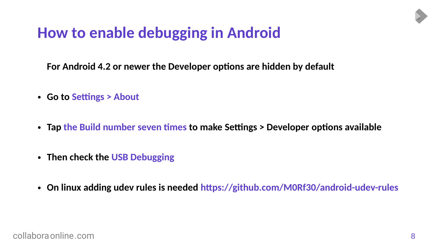### **How to enable debugging in Android**

**For Android 4.2 or newer the Developer options are hidden by default**

- **Go to Settings > About**
- **Tap the Build number seven times to make Settings > Developer options available**
- **Then check the USB Debugging**
- **On linux adding udev rules is needed https://github.com/M0Rf30/android-udev-rules**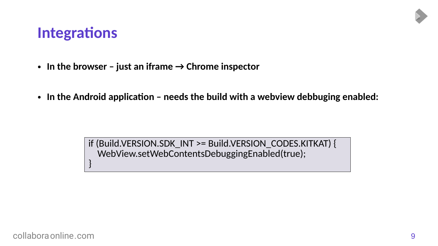#### **Integrations**

- $\cdot$  In the browser just an iframe  $\rightarrow$  Chrome inspector
- In the Android application needs the build with a webview debbuging enabled:

if (Build.VERSION.SDK\_INT >= Build.VERSION\_CODES.KITKAT) { WebView.setWebContentsDebuggingEnabled(true); }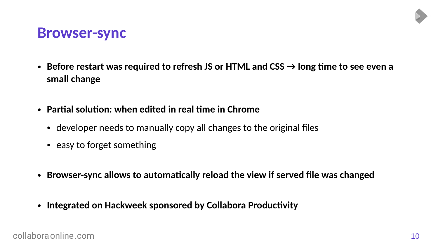#### **Browser-sync**

- Before restart was required to refresh JS or HTML and  $CSS \rightarrow$  long time to see even a **small change**
- **Partial solution: when edited in real time in Chrome**
	- developer needs to manually copy all changes to the original files
	- easy to forget something
- **Browser-sync allows to automatically reload the view if served file was changed**
- **Integrated on Hackweek sponsored by Collabora Productivity**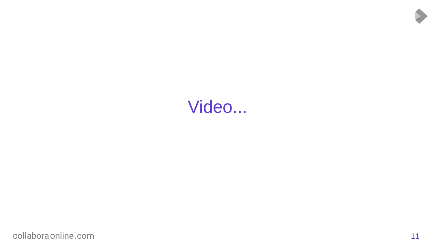## Video...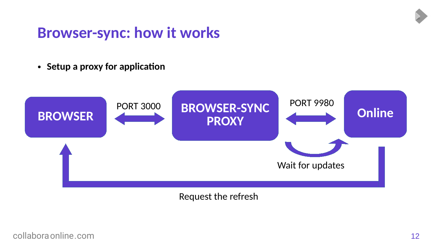#### **Browser-sync: how it works**

● **Setup a proxy for application**



Request the refresh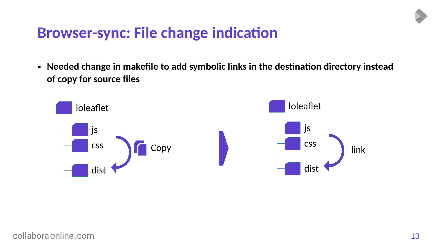#### **Browser-sync: File change indication**

• Needed change in makefile to add symbolic links in the destination directory instead **of copy for source files**

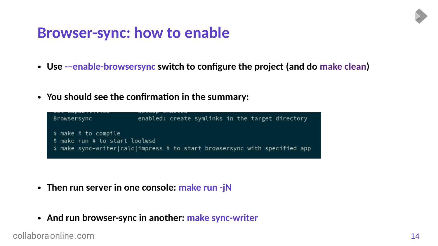#### **Browser-sync: how to enable**

- **Use -–enable-browsersync switch to configure the project (and do make clean)**
- **You should see the confirmation in the summary:**



- Then run server in one console: make run -jN
- And run browser-sync in another: make sync-writer

[collaboraonline.com](https://www.collaboraoffice.com/) 14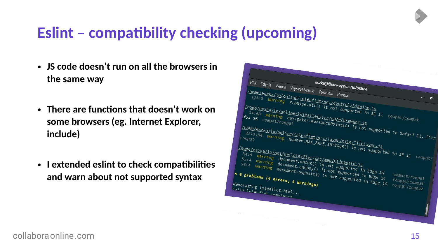### **Eslint – compatibility checking (upcoming)**

- **JS code doesn't run on all the browsers in the same way**
- **There are functions that doesn't work on some browsers (eg. Internet Explorer, include)**
- **I extended eslint to check compatibilities and warn about not supported syntax**

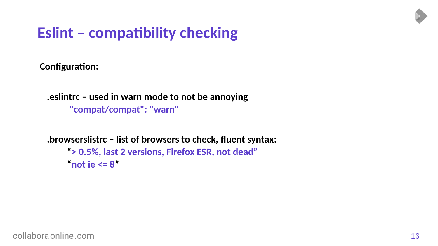### **Eslint – compatibility checking**

**Configuration:**

```
.eslintrc – used in warn mode to not be annoying
 "compat/compat": "warn"
```

```
.browserslistrc – list of browsers to check, fluent syntax:
 "> 0.5%, last 2 versions, Firefox ESR, not dead"
"not ie \leq 8"
```